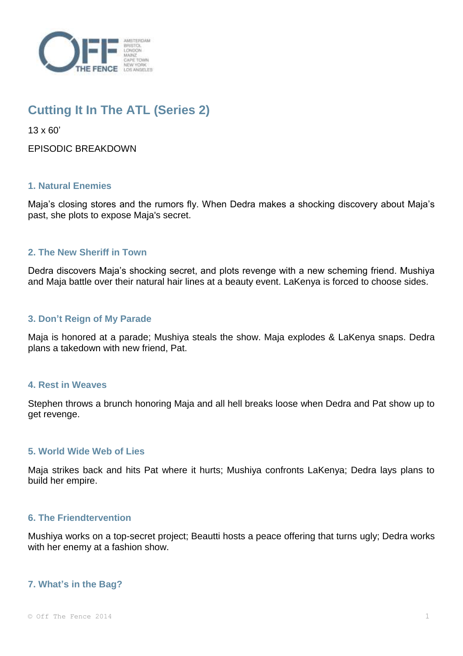

# **Cutting It In The ATL (Series 2)**

13 x 60'

EPISODIC BREAKDOWN

## **1. Natural Enemies**

Maja's closing stores and the rumors fly. When Dedra makes a shocking discovery about Maja's past, she plots to expose Maja's secret.

# **2. The New Sheriff in Town**

Dedra discovers Maja's shocking secret, and plots revenge with a new scheming friend. Mushiya and Maja battle over their natural hair lines at a beauty event. LaKenya is forced to choose sides.

## **3. Don't Reign of My Parade**

Maja is honored at a parade; Mushiya steals the show. Maja explodes & LaKenya snaps. Dedra plans a takedown with new friend, Pat.

## **4. Rest in Weaves**

Stephen throws a brunch honoring Maja and all hell breaks loose when Dedra and Pat show up to get revenge.

## **5. World Wide Web of Lies**

Maja strikes back and hits Pat where it hurts; Mushiya confronts LaKenya; Dedra lays plans to build her empire.

## **6. The Friendtervention**

Mushiya works on a top-secret project; Beautti hosts a peace offering that turns ugly; Dedra works with her enemy at a fashion show.

## **7. What's in the Bag?**